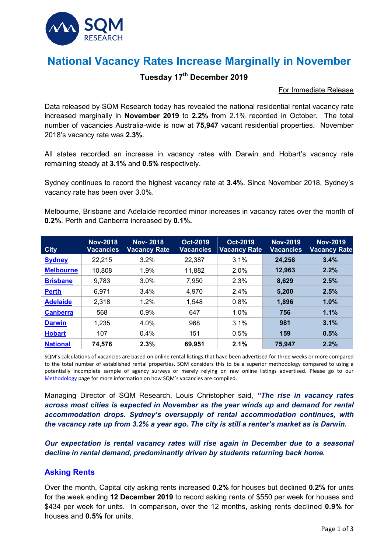

# **National Vacancy Rates Increase Marginally in November**

### **Tuesday 17th December 2019**

#### For Immediate Release

Data released by SQM Research today has revealed the national residential rental vacancy rate increased marginally in **November 2019** to **2.2%** from 2.1% recorded in October. The total number of vacancies Australia-wide is now at **75,947** vacant residential properties. November 2018's vacancy rate was **2.3%**.

All states recorded an increase in vacancy rates with Darwin and Hobart's vacancy rate remaining steady at **3.1%** and **0.5%** respectively.

Sydney continues to record the highest vacancy rate at **3.4%**. Since November 2018, Sydney's vacancy rate has been over 3.0%.

Melbourne, Brisbane and Adelaide recorded minor increases in vacancy rates over the month of **0.2%**. Perth and Canberra increased by **0.1%.**

| <b>City</b>      | <b>Nov-2018</b><br><b>Vacancies</b> | <b>Nov-2018</b><br><b>Vacancy Rate</b> | Oct-2019<br><b>Vacancies</b> | Oct-2019<br><b>Vacancy Rate</b> | <b>Nov-2019</b><br><b>Vacancies</b> | <b>Nov-2019</b><br><b>Vacancy Rate</b> |
|------------------|-------------------------------------|----------------------------------------|------------------------------|---------------------------------|-------------------------------------|----------------------------------------|
| <b>Sydney</b>    | 22,215                              | 3.2%                                   | 22,387                       | 3.1%                            | 24,258                              | 3.4%                                   |
| <b>Melbourne</b> | 10,808                              | 1.9%                                   | 11,882                       | 2.0%                            | 12,963                              | 2.2%                                   |
| <b>Brisbane</b>  | 9,783                               | 3.0%                                   | 7,950                        | 2.3%                            | 8,629                               | 2.5%                                   |
| <b>Perth</b>     | 6,971                               | 3.4%                                   | 4,970                        | 2.4%                            | 5,200                               | 2.5%                                   |
| <b>Adelaide</b>  | 2,318                               | 1.2%                                   | 1,548                        | 0.8%                            | 1,896                               | 1.0%                                   |
| <b>Canberra</b>  | 568                                 | 0.9%                                   | 647                          | 1.0%                            | 756                                 | 1.1%                                   |
| <b>Darwin</b>    | 1,235                               | 4.0%                                   | 968                          | 3.1%                            | 981                                 | 3.1%                                   |
| <b>Hobart</b>    | 107                                 | 0.4%                                   | 151                          | 0.5%                            | 159                                 | 0.5%                                   |
| <b>National</b>  | 74,576                              | 2.3%                                   | 69,951                       | 2.1%                            | 75,947                              | 2.2%                                   |

SQM's calculations of vacancies are based on online rental listings that have been advertised for three weeks or more compared to the total number of established rental properties. SQM considers this to be a superior methodology compared to using a potentially incomplete sample of agency surveys or merely relying on raw online listings advertised. Please go to our [Methodology](https://sqmresearch.com.au/graph_vacancy.php?region=nsw::Sydney&type=c&t=1#terms) page for more information on how SQM's vacancies are compiled.

Managing Director of SQM Research, Louis Christopher said, *"The rise in vacancy rates across most cities is expected in November as the year winds up and demand for rental accommodation drops. Sydney's oversupply of rental accommodation continues, with the vacancy rate up from 3.2% a year ago. The city is still a renter's market as is Darwin.*

*Our expectation is rental vacancy rates will rise again in December due to a seasonal decline in rental demand, predominantly driven by students returning back home.* 

#### **Asking Rents**

Over the month, Capital city asking rents increased **0.2%** for houses but declined **0.2%** for units for the week ending **12 December 2019** to record asking rents of \$550 per week for houses and \$434 per week for units. In comparison, over the 12 months, asking rents declined **0.9%** for houses and **0.5%** for units.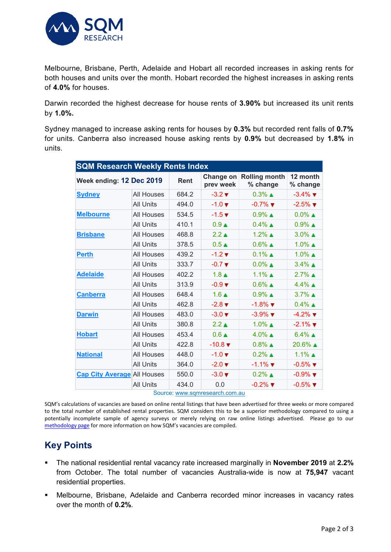

Melbourne, Brisbane, Perth, Adelaide and Hobart all recorded increases in asking rents for both houses and units over the month. Hobart recorded the highest increases in asking rents of **4.0%** for houses.

Darwin recorded the highest decrease for house rents of **3.90%** but increased its unit rents by **1.0%.**

Sydney managed to increase asking rents for houses by **0.3%** but recorded rent falls of **0.7%** for units. Canberra also increased house asking rents by **0.9%** but decreased by **1.8%** in units.

| <b>SQM Research Weekly Rents Index</b> |       |                              |                                  |                               |  |  |  |  |  |  |
|----------------------------------------|-------|------------------------------|----------------------------------|-------------------------------|--|--|--|--|--|--|
| Week ending: 12 Dec 2019               |       |                              | <b>Rolling month</b><br>% change | 12 month<br>% change          |  |  |  |  |  |  |
| <b>All Houses</b>                      | 684.2 | $-3.2 \blacktriangledown$    | $0.3\%$ $\triangle$              | $-3.4\%$ $\blacktriangledown$ |  |  |  |  |  |  |
| <b>All Units</b>                       | 494.0 | $-1.0 \blacktriangledown$    | $-0.7\%$ $\blacksquare$          | $-2.5\%$ $\blacksquare$       |  |  |  |  |  |  |
| <b>All Houses</b>                      | 534.5 | $-1.5$ $\blacktriangledown$  | $0.9\%$ $\blacksquare$           | $0.0\%$ $\triangle$           |  |  |  |  |  |  |
| <b>All Units</b>                       | 410.1 | 0.9 <sub>A</sub>             | $0.4\%$ $\triangle$              | $0.9\%$ $\triangle$           |  |  |  |  |  |  |
| <b>All Houses</b>                      | 468.8 | $2.2 \triangle$              | $1.2\%$ $\triangle$              | $3.0\%$ $\triangle$           |  |  |  |  |  |  |
| <b>All Units</b>                       | 378.5 | $0.5 \triangle$              | $0.6\%$ $\triangle$              | $1.0\%$ $\triangle$           |  |  |  |  |  |  |
| <b>All Houses</b>                      | 439.2 | $-1.2 \blacktriangledown$    | $0.1\%$ $\triangle$              | $1.0\%$ $\triangle$           |  |  |  |  |  |  |
| <b>All Units</b>                       | 333.7 | $-0.7$ $\blacktriangledown$  | $0.0\%$ $\triangle$              | $3.4\%$ $\triangle$           |  |  |  |  |  |  |
| <b>All Houses</b>                      | 402.2 | 1.8 <sub>A</sub>             | $1.1\%$ $\triangle$              | $2.7\%$ $\triangle$           |  |  |  |  |  |  |
| <b>All Units</b>                       | 313.9 | $-0.9$ $\blacktriangledown$  | $0.6\%$ $\triangle$              | $4.4\%$ $\triangle$           |  |  |  |  |  |  |
| <b>All Houses</b>                      | 648.4 | $1.6 \triangle$              | $0.9\%$ $\triangle$              | $3.7\%$ $\triangle$           |  |  |  |  |  |  |
| <b>All Units</b>                       | 462.8 | $-2.8$ $\blacktriangledown$  | $-1.8\%$ $\blacksquare$          | $0.4\%$ $\triangle$           |  |  |  |  |  |  |
| <b>All Houses</b>                      | 483.0 | $-3.0 \blacktriangledown$    | $-3.9\%$ $\blacksquare$          | $-4.2\%$ $\blacksquare$       |  |  |  |  |  |  |
| <b>All Units</b>                       | 380.8 | $2.2 \triangle$              | $1.0\%$ $\triangle$              | $-2.1\%$ $\blacksquare$       |  |  |  |  |  |  |
| <b>All Houses</b>                      | 453.4 | $0.6 \triangle$              | $4.0\%$ $\triangle$              | $6.4\%$ $\triangle$           |  |  |  |  |  |  |
| <b>All Units</b>                       | 422.8 | $-10.8$ $\blacktriangledown$ | $0.8\%$ $\triangle$              | 20.6%                         |  |  |  |  |  |  |
| <b>All Houses</b>                      | 448.0 | $-1.0 \blacktriangledown$    | $0.2\%$ $\triangle$              | $1.1\%$ $\triangle$           |  |  |  |  |  |  |
| <b>All Units</b>                       | 364.0 | $-2.0 \blacktriangledown$    | $-1.1\%$ $\blacksquare$          | $-0.5\%$ $\blacksquare$       |  |  |  |  |  |  |
| <b>Cap City Average</b> All Houses     | 550.0 | $-3.0 \blacktriangledown$    | $0.2\%$ $\triangle$              | $-0.9\%$ $\blacksquare$       |  |  |  |  |  |  |
| <b>All Units</b>                       | 434.0 | 0.0                          | $-0.2\%$ $\blacksquare$          | $-0.5\%$ $\blacktriangledown$ |  |  |  |  |  |  |
|                                        |       | Rent                         | Change on<br>prev week           | $\mathcal{C}_{\mathcal{A}}$   |  |  |  |  |  |  |

Source: [www.sqmresearch.com.au](http://www.sqmresearch.com.au/)

SQM's calculations of vacancies are based on online rental listings that have been advertised for three weeks or more compared to the total number of established rental properties. SQM considers this to be a superior methodology compared to using a potentially incomplete sample of agency surveys or merely relying on raw online listings advertised. Please go to our [methodology page](https://sqmresearch.com.au/pdfs/methodologydocumentrentsindex.pdf) for more information on how SQM's vacancies are compiled.

## **Key Points**

- The national residential rental vacancy rate increased marginally in **November 2019** at **2.2%** from October. The total number of vacancies Australia-wide is now at **75,947** vacant residential properties.
- Melbourne, Brisbane, Adelaide and Canberra recorded minor increases in vacancy rates over the month of **0.2%**.